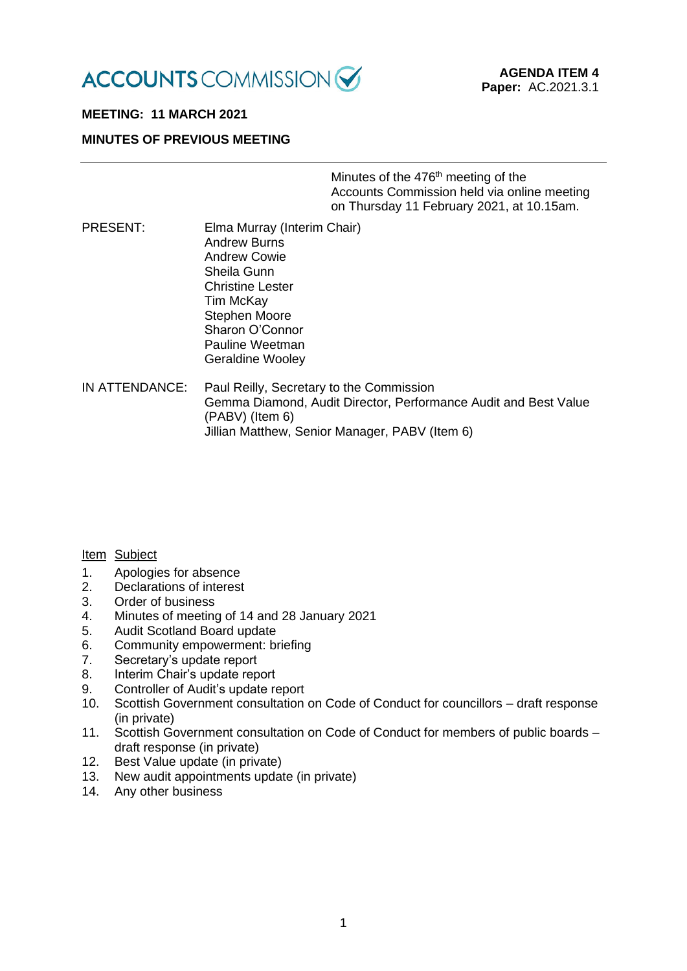

# **MEETING: 11 MARCH 2021**

## **MINUTES OF PREVIOUS MEETING**

Minutes of the 476<sup>th</sup> meeting of the Accounts Commission held via online meeting on Thursday 11 February 2021, at 10.15am.

- PRESENT: Elma Murray (Interim Chair) Andrew Burns Andrew Cowie Sheila Gunn Christine Lester Tim McKay Stephen Moore Sharon O'Connor Pauline Weetman Geraldine Wooley
- IN ATTENDANCE: Paul Reilly, Secretary to the Commission Gemma Diamond, Audit Director, Performance Audit and Best Value (PABV) (Item 6) Jillian Matthew, Senior Manager, PABV (Item 6)

### Item Subject

- 1. Apologies for absence
- 2. Declarations of interest
- 3. Order of business
- 4. Minutes of meeting of 14 and 28 January 2021
- 5. Audit Scotland Board update
- 6. Community empowerment: briefing
- 7. Secretary's update report
- 8. Interim Chair's update report
- 9. Controller of Audit's update report
- 10. Scottish Government consultation on Code of Conduct for councillors draft response (in private)
- 11. Scottish Government consultation on Code of Conduct for members of public boards draft response (in private)
- 12. Best Value update (in private)
- 13. New audit appointments update (in private)
- 14. Any other business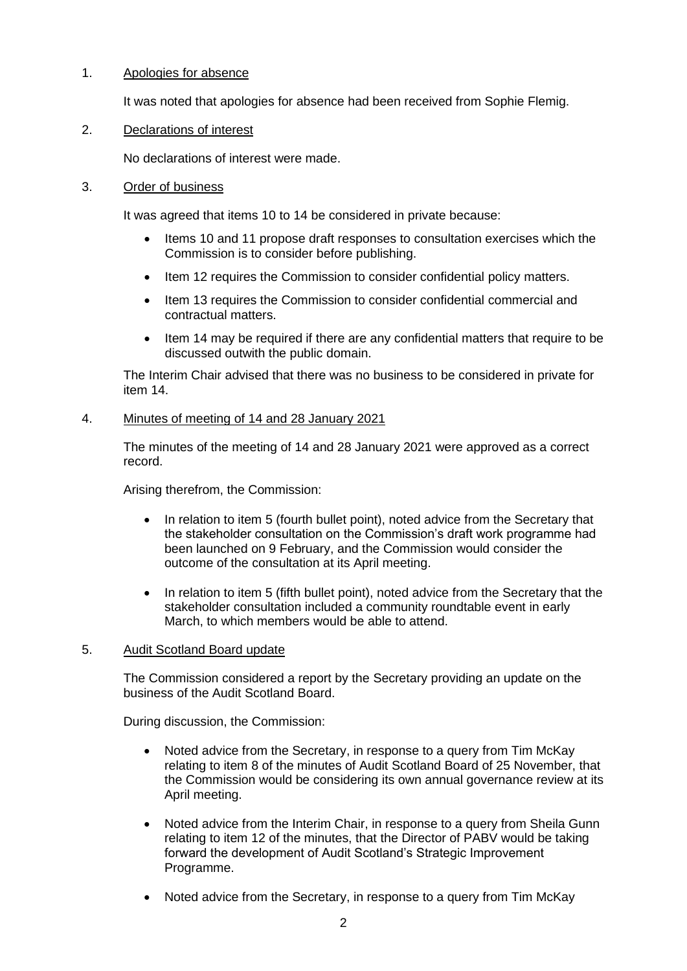## 1. Apologies for absence

It was noted that apologies for absence had been received from Sophie Flemig.

## 2. Declarations of interest

No declarations of interest were made.

## 3. Order of business

It was agreed that items 10 to 14 be considered in private because:

- Items 10 and 11 propose draft responses to consultation exercises which the Commission is to consider before publishing.
- Item 12 requires the Commission to consider confidential policy matters.
- Item 13 requires the Commission to consider confidential commercial and contractual matters.
- Item 14 may be required if there are any confidential matters that require to be discussed outwith the public domain.

The Interim Chair advised that there was no business to be considered in private for item 14.

## 4. Minutes of meeting of 14 and 28 January 2021

The minutes of the meeting of 14 and 28 January 2021 were approved as a correct record.

Arising therefrom, the Commission:

- In relation to item 5 (fourth bullet point), noted advice from the Secretary that the stakeholder consultation on the Commission's draft work programme had been launched on 9 February, and the Commission would consider the outcome of the consultation at its April meeting.
- In relation to item 5 (fifth bullet point), noted advice from the Secretary that the stakeholder consultation included a community roundtable event in early March, to which members would be able to attend.

## 5. Audit Scotland Board update

The Commission considered a report by the Secretary providing an update on the business of the Audit Scotland Board.

During discussion, the Commission:

- Noted advice from the Secretary, in response to a query from Tim McKay relating to item 8 of the minutes of Audit Scotland Board of 25 November, that the Commission would be considering its own annual governance review at its April meeting.
- Noted advice from the Interim Chair, in response to a query from Sheila Gunn relating to item 12 of the minutes, that the Director of PABV would be taking forward the development of Audit Scotland's Strategic Improvement Programme.
- Noted advice from the Secretary, in response to a query from Tim McKay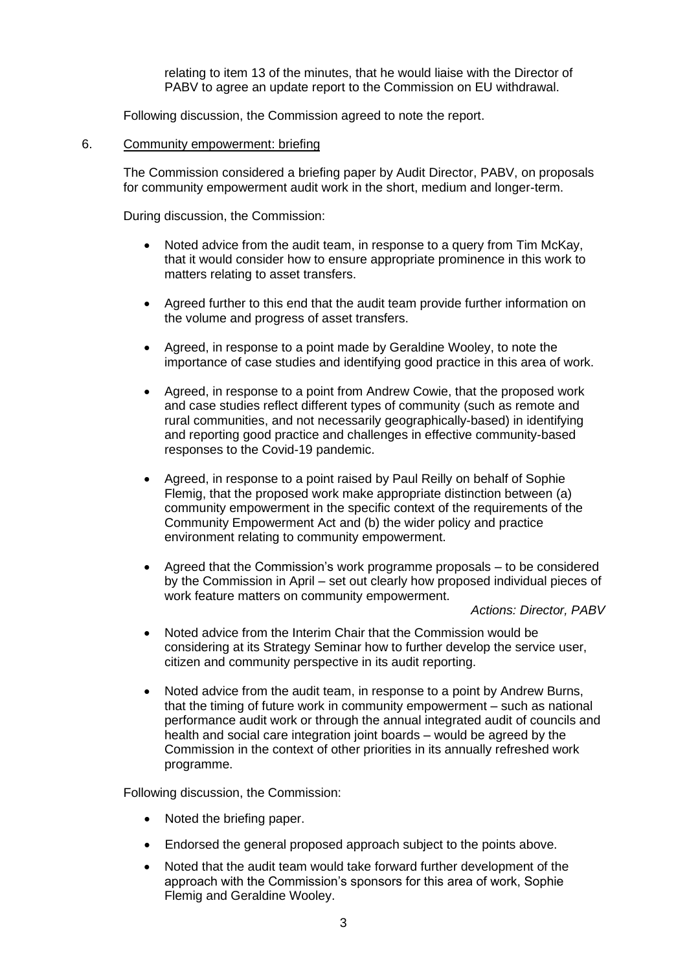relating to item 13 of the minutes, that he would liaise with the Director of PABV to agree an update report to the Commission on EU withdrawal.

Following discussion, the Commission agreed to note the report.

#### 6. Community empowerment: briefing

The Commission considered a briefing paper by Audit Director, PABV, on proposals for community empowerment audit work in the short, medium and longer-term.

During discussion, the Commission:

- Noted advice from the audit team, in response to a query from Tim McKay, that it would consider how to ensure appropriate prominence in this work to matters relating to asset transfers.
- Agreed further to this end that the audit team provide further information on the volume and progress of asset transfers.
- Agreed, in response to a point made by Geraldine Wooley, to note the importance of case studies and identifying good practice in this area of work.
- Agreed, in response to a point from Andrew Cowie, that the proposed work and case studies reflect different types of community (such as remote and rural communities, and not necessarily geographically-based) in identifying and reporting good practice and challenges in effective community-based responses to the Covid-19 pandemic.
- Agreed, in response to a point raised by Paul Reilly on behalf of Sophie Flemig, that the proposed work make appropriate distinction between (a) community empowerment in the specific context of the requirements of the Community Empowerment Act and (b) the wider policy and practice environment relating to community empowerment.
- Agreed that the Commission's work programme proposals to be considered by the Commission in April – set out clearly how proposed individual pieces of work feature matters on community empowerment.

*Actions: Director, PABV*

- Noted advice from the Interim Chair that the Commission would be considering at its Strategy Seminar how to further develop the service user, citizen and community perspective in its audit reporting.
- Noted advice from the audit team, in response to a point by Andrew Burns, that the timing of future work in community empowerment – such as national performance audit work or through the annual integrated audit of councils and health and social care integration joint boards – would be agreed by the Commission in the context of other priorities in its annually refreshed work programme.

Following discussion, the Commission:

- Noted the briefing paper.
- Endorsed the general proposed approach subject to the points above.
- Noted that the audit team would take forward further development of the approach with the Commission's sponsors for this area of work, Sophie Flemig and Geraldine Wooley.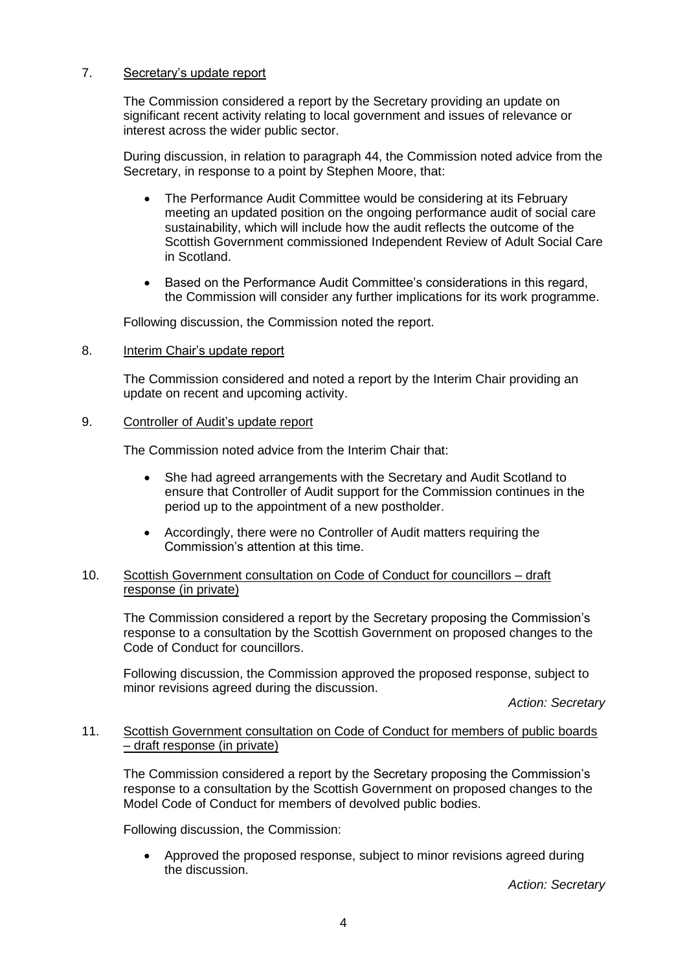## 7. Secretary's update report

The Commission considered a report by the Secretary providing an update on significant recent activity relating to local government and issues of relevance or interest across the wider public sector.

During discussion, in relation to paragraph 44, the Commission noted advice from the Secretary, in response to a point by Stephen Moore, that:

- The Performance Audit Committee would be considering at its February meeting an updated position on the ongoing performance audit of social care sustainability, which will include how the audit reflects the outcome of the Scottish Government commissioned Independent Review of Adult Social Care in Scotland.
- Based on the Performance Audit Committee's considerations in this regard, the Commission will consider any further implications for its work programme.

Following discussion, the Commission noted the report.

8. Interim Chair's update report

The Commission considered and noted a report by the Interim Chair providing an update on recent and upcoming activity.

#### 9. Controller of Audit's update report

The Commission noted advice from the Interim Chair that:

- She had agreed arrangements with the Secretary and Audit Scotland to ensure that Controller of Audit support for the Commission continues in the period up to the appointment of a new postholder.
- Accordingly, there were no Controller of Audit matters requiring the Commission's attention at this time.

#### 10. Scottish Government consultation on Code of Conduct for councillors – draft response (in private)

The Commission considered a report by the Secretary proposing the Commission's response to a consultation by the Scottish Government on proposed changes to the Code of Conduct for councillors.

Following discussion, the Commission approved the proposed response, subject to minor revisions agreed during the discussion.

*Action: Secretary*

#### 11. Scottish Government consultation on Code of Conduct for members of public boards – draft response (in private)

The Commission considered a report by the Secretary proposing the Commission's response to a consultation by the Scottish Government on proposed changes to the Model Code of Conduct for members of devolved public bodies.

Following discussion, the Commission:

• Approved the proposed response, subject to minor revisions agreed during the discussion.

*Action: Secretary*